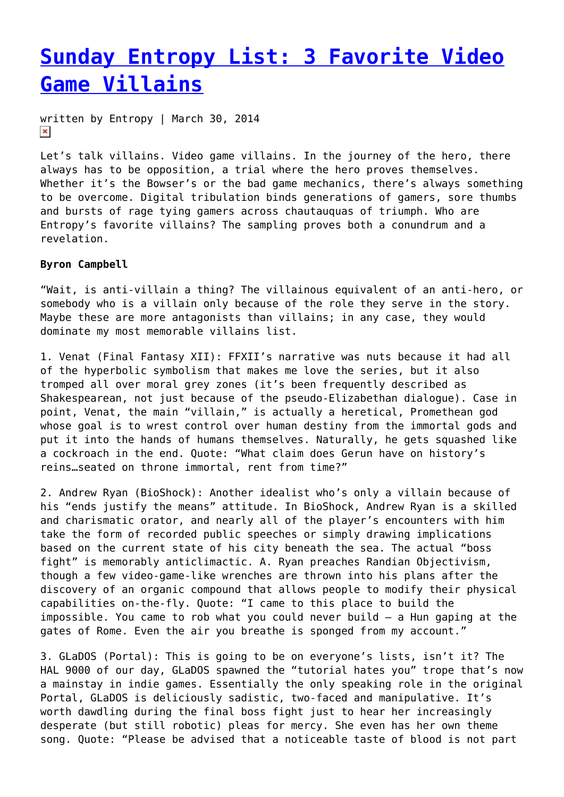# **[Sunday Entropy List: 3 Favorite Video](https://entropymag.org/sunday-entropy-list-3-favorite-video-game-villains/) [Game Villains](https://entropymag.org/sunday-entropy-list-3-favorite-video-game-villains/)**

written by Entropy | March 30, 2014  $\pmb{\times}$ 

Let's talk villains. Video game villains. In the journey of the hero, there always has to be opposition, a trial where the hero proves themselves. Whether it's the Bowser's or the bad game mechanics, there's always something to be overcome. Digital tribulation binds generations of gamers, sore thumbs and bursts of rage tying gamers across chautauquas of triumph. Who are Entropy's favorite villains? The sampling proves both a conundrum and a revelation.

# **Byron Campbell**

"Wait, is anti-villain a thing? The villainous equivalent of an anti-hero, or somebody who is a villain only because of the role they serve in the story. Maybe these are more antagonists than villains; in any case, they would dominate my most memorable villains list.

1. Venat (Final Fantasy XII): FFXII's narrative was nuts because it had all of the hyperbolic symbolism that makes me love the series, but it also tromped all over moral grey zones (it's been frequently described as Shakespearean, not just because of the pseudo-Elizabethan dialogue). Case in point, Venat, the main "villain," is actually a heretical, Promethean god whose goal is to wrest control over human destiny from the immortal gods and put it into the hands of humans themselves. Naturally, he gets squashed like a cockroach in the end. Quote: "What claim does Gerun have on history's reins…seated on throne immortal, rent from time?"

2. Andrew Ryan (BioShock): Another idealist who's only a villain because of his "ends justify the means" attitude. In BioShock, Andrew Ryan is a skilled and charismatic orator, and nearly all of the player's encounters with him take the form of recorded public speeches or simply drawing implications based on the current state of his city beneath the sea. The actual "boss fight" is memorably anticlimactic. A. Ryan preaches Randian Objectivism, though a few video-game-like wrenches are thrown into his plans after the discovery of an organic compound that allows people to modify their physical capabilities on-the-fly. Quote: "I came to this place to build the impossible. You came to rob what you could never build – a Hun gaping at the gates of Rome. Even the air you breathe is sponged from my account."

3. GLaDOS (Portal): This is going to be on everyone's lists, isn't it? The HAL 9000 of our day, GLaDOS spawned the "tutorial hates you" trope that's now a mainstay in indie games. Essentially the only speaking role in the original Portal, GLaDOS is deliciously sadistic, two-faced and manipulative. It's worth dawdling during the final boss fight just to hear her increasingly desperate (but still robotic) pleas for mercy. She even has her own theme song. Quote: "Please be advised that a noticeable taste of blood is not part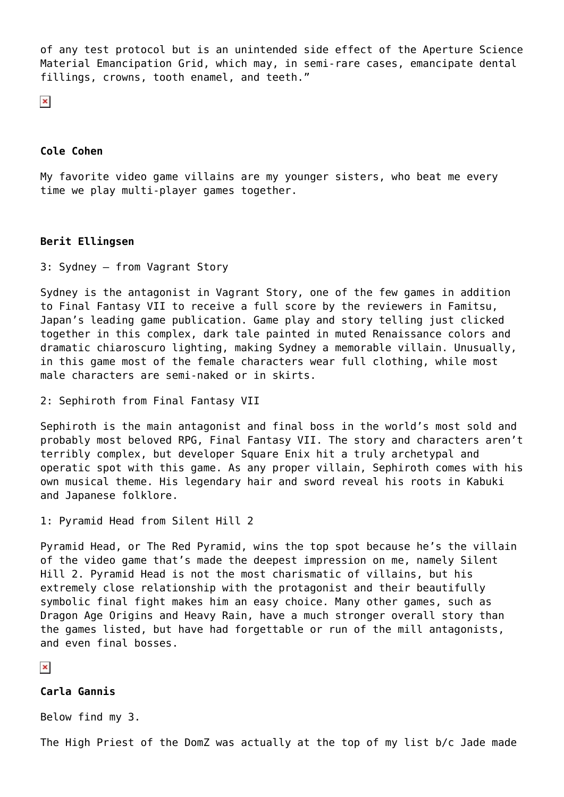of any test protocol but is an unintended side effect of the Aperture Science Material Emancipation Grid, which may, in semi-rare cases, emancipate dental fillings, crowns, tooth enamel, and teeth."

 $\pmb{\times}$ 

#### **Cole Cohen**

My favorite video game villains are my younger sisters, who beat me every time we play multi-player games together.

#### **Berit Ellingsen**

3: Sydney – from Vagrant Story

Sydney is the antagonist in Vagrant Story, one of the few games in addition to Final Fantasy VII to receive a full score by the reviewers in Famitsu, Japan's leading game publication. Game play and story telling just clicked together in this complex, dark tale painted in muted Renaissance colors and dramatic chiaroscuro lighting, making Sydney a memorable villain. Unusually, in this game most of the female characters wear full clothing, while most male characters are semi-naked or in skirts.

```
2: Sephiroth from Final Fantasy VII
```
Sephiroth is the main antagonist and final boss in the world's most sold and probably most beloved RPG, Final Fantasy VII. The story and characters aren't terribly complex, but developer Square Enix hit a truly archetypal and operatic spot with this game. As any proper villain, Sephiroth comes with his own musical theme. His legendary hair and sword reveal his roots in Kabuki and Japanese folklore.

1: Pyramid Head from Silent Hill 2

Pyramid Head, or The Red Pyramid, wins the top spot because he's the villain of the video game that's made the deepest impression on me, namely Silent Hill 2. Pyramid Head is not the most charismatic of villains, but his extremely close relationship with the protagonist and their beautifully symbolic final fight makes him an easy choice. Many other games, such as Dragon Age Origins and Heavy Rain, have a much stronger overall story than the games listed, but have had forgettable or run of the mill antagonists, and even final bosses.

 $\pmb{\times}$ 

## **Carla Gannis**

Below find my 3.

The High Priest of the DomZ was actually at the top of my list b/c Jade made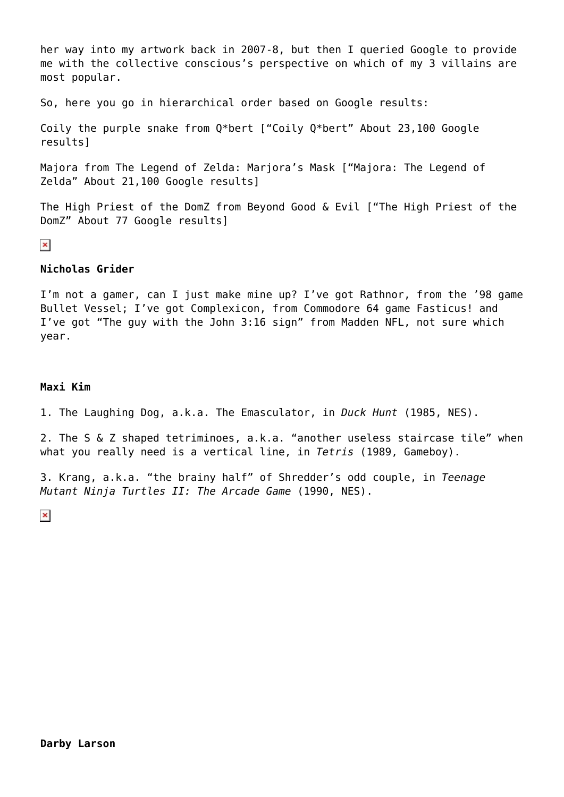her way into my artwork back in 2007-8, but then I queried Google to provide me with the collective conscious's perspective on which of my 3 villains are most popular.

So, here you go in hierarchical order based on Google results:

Coily the purple snake from Q\*bert ["Coily Q\*bert" About 23,100 Google results]

Majora from The Legend of Zelda: Marjora's Mask ["Majora: The Legend of Zelda" About 21,100 Google results]

The High Priest of the DomZ from Beyond Good & Evil ["The High Priest of the DomZ" About 77 Google results]

 $\pmb{\times}$ 

# **Nicholas Grider**

I'm not a gamer, can I just make mine up? I've got Rathnor, from the '98 game Bullet Vessel; I've got Complexicon, from Commodore 64 game Fasticus! and I've got "The guy with the John 3:16 sign" from Madden NFL, not sure which year.

## **Maxi Kim**

1. The Laughing Dog, a.k.a. The Emasculator, in *Duck Hunt* (1985, NES).

2. The S & Z shaped tetriminoes, a.k.a. "another useless staircase tile" when what you really need is a vertical line, in *Tetris* (1989, Gameboy).

3. Krang, a.k.a. "the brainy half" of Shredder's odd couple, in *Teenage Mutant Ninja Turtles II: The Arcade Game* (1990, NES).

 $\pmb{\times}$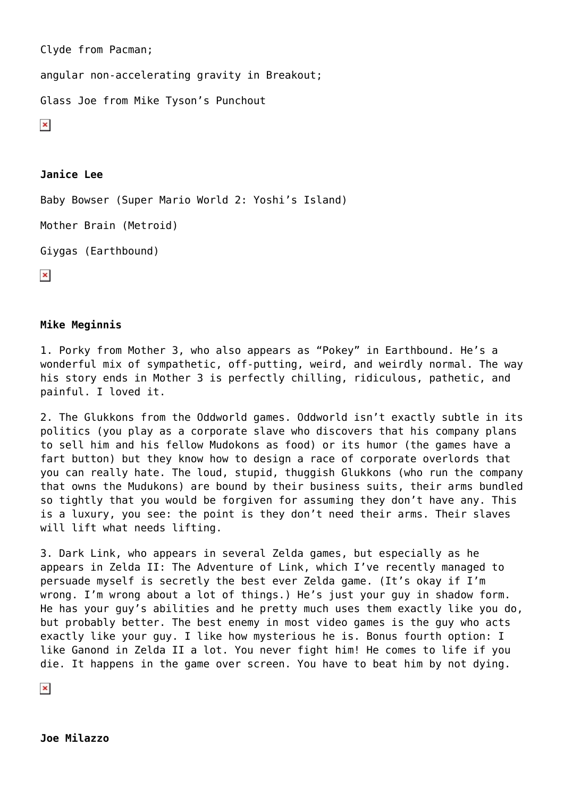Clyde from Pacman; angular non-accelerating gravity in Breakout; Glass Joe from Mike Tyson's Punchout  $\pmb{\times}$ 

# **Janice Lee**

Baby Bowser (Super Mario World 2: Yoshi's Island)

Mother Brain (Metroid)

```
Giygas (Earthbound)
```
 $\pmb{\times}$ 

#### **Mike Meginnis**

1. Porky from Mother 3, who also appears as "Pokey" in Earthbound. He's a wonderful mix of sympathetic, off-putting, weird, and weirdly normal. The way his story ends in Mother 3 is perfectly chilling, ridiculous, pathetic, and painful. I loved it.

2. The Glukkons from the Oddworld games. Oddworld isn't exactly subtle in its politics (you play as a corporate slave who discovers that his company plans to sell him and his fellow Mudokons as food) or its humor (the games have a fart button) but they know how to design a race of corporate overlords that you can really hate. The loud, stupid, thuggish Glukkons (who run the company that owns the Mudukons) are bound by their business suits, their arms bundled so tightly that you would be forgiven for assuming they don't have any. This is a luxury, you see: the point is they don't need their arms. Their slaves will lift what needs lifting.

3. Dark Link, who appears in several Zelda games, but especially as he appears in Zelda II: The Adventure of Link, which I've recently managed to persuade myself is secretly the best ever Zelda game. (It's okay if I'm wrong. I'm wrong about a lot of things.) He's just your guy in shadow form. He has your guy's abilities and he pretty much uses them exactly like you do, but probably better. The best enemy in most video games is the guy who acts exactly like your guy. I like how mysterious he is. Bonus fourth option: I like Ganond in Zelda II a lot. You never fight him! He comes to life if you die. It happens in the game over screen. You have to beat him by not dying.

 $\pmb{\times}$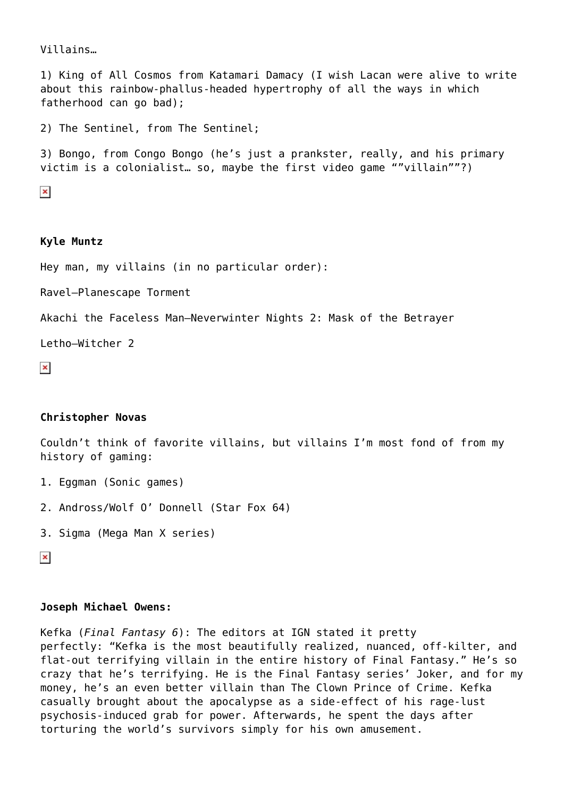Villains…

1) King of All Cosmos from Katamari Damacy (I wish Lacan were alive to write about this rainbow-phallus-headed hypertrophy of all the ways in which fatherhood can go bad);

2) The Sentinel, from The Sentinel;

3) Bongo, from Congo Bongo (he's just a prankster, really, and his primary victim is a colonialist… so, maybe the first video game ""villain""?)

 $\pmb{\times}$ 

#### **Kyle Muntz**

Hey man, my villains (in no particular order):

Ravel–Planescape Torment

Akachi the Faceless Man–Neverwinter Nights 2: Mask of the Betrayer

Letho–Witcher 2

 $\pmb{\times}$ 

#### **Christopher Novas**

Couldn't think of favorite villains, but villains I'm most fond of from my history of gaming:

- 1. Eggman (Sonic games)
- 2. Andross/Wolf O' Donnell (Star Fox 64)
- 3. Sigma (Mega Man X series)

 $\pmb{\times}$ 

# **Joseph Michael Owens:**

Kefka (*Final Fantasy 6*): The editors at IGN stated it pretty perfectly: "Kefka is the most beautifully realized, nuanced, off-kilter, and flat-out terrifying villain in the entire history of Final Fantasy." He's so crazy that he's terrifying. He is the Final Fantasy series' Joker, and for my money, he's an even better villain than The Clown Prince of Crime. Kefka casually brought about the apocalypse as a side-effect of his rage-lust psychosis-induced grab for power. Afterwards, he spent the days after torturing the world's survivors simply for his own amusement.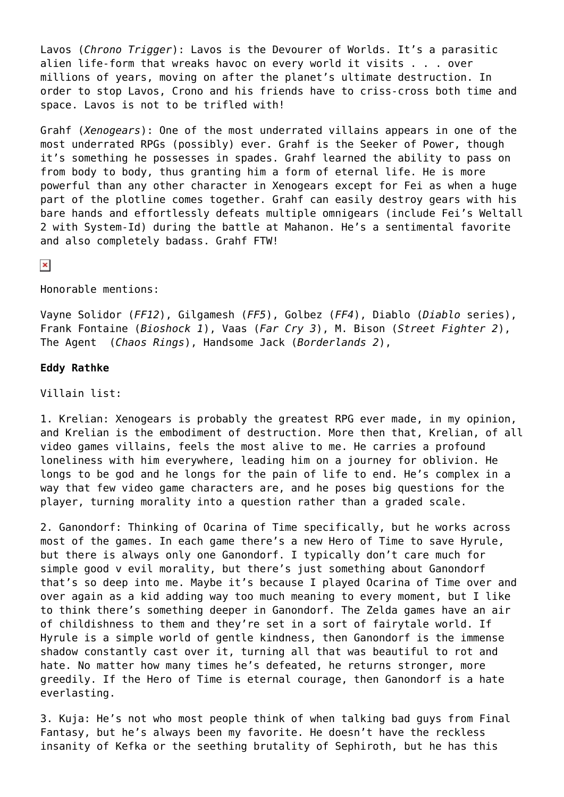Lavos (*Chrono Trigger*): Lavos is the Devourer of Worlds. It's a parasitic alien life-form that wreaks havoc on every world it visits . . . over millions of years, moving on after the planet's ultimate destruction. In order to stop Lavos, Crono and his friends have to criss-cross both time and space. Lavos is not to be trifled with!

Grahf (*Xenogears*): One of the most underrated villains appears in one of the most underrated RPGs (possibly) ever. Grahf is the Seeker of Power, though it's something he possesses in spades. Grahf learned the ability to pass on from body to body, thus granting him a form of eternal life. He is more powerful than any other character in Xenogears except for Fei as when a huge part of the plotline comes together. Grahf can easily destroy gears with his bare hands and effortlessly defeats multiple omnigears (include Fei's Weltall 2 with System-Id) during the battle at Mahanon. He's a sentimental favorite and also completely badass. Grahf FTW!

#### $\pmb{\times}$

Honorable mentions:

Vayne Solidor (*FF12*), Gilgamesh (*FF5*), Golbez (*FF4*), Diablo (*Diablo* series), Frank Fontaine (*Bioshock 1*), Vaas (*Far Cry 3*), M. Bison (*Street Fighter 2*), The Agent (*Chaos Rings*), Handsome Jack (*Borderlands 2*),

## **Eddy Rathke**

Villain list:

1. Krelian: Xenogears is probably the greatest RPG ever made, in my opinion, and Krelian is the embodiment of destruction. More then that, Krelian, of all video games villains, feels the most alive to me. He carries a profound loneliness with him everywhere, leading him on a journey for oblivion. He longs to be god and he longs for the pain of life to end. He's complex in a way that few video game characters are, and he poses big questions for the player, turning morality into a question rather than a graded scale.

2. Ganondorf: Thinking of Ocarina of Time specifically, but he works across most of the games. In each game there's a new Hero of Time to save Hyrule, but there is always only one Ganondorf. I typically don't care much for simple good v evil morality, but there's just something about Ganondorf that's so deep into me. Maybe it's because I played Ocarina of Time over and over again as a kid adding way too much meaning to every moment, but I like to think there's something deeper in Ganondorf. The Zelda games have an air of childishness to them and they're set in a sort of fairytale world. If Hyrule is a simple world of gentle kindness, then Ganondorf is the immense shadow constantly cast over it, turning all that was beautiful to rot and hate. No matter how many times he's defeated, he returns stronger, more greedily. If the Hero of Time is eternal courage, then Ganondorf is a hate everlasting.

3. Kuja: He's not who most people think of when talking bad guys from Final Fantasy, but he's always been my favorite. He doesn't have the reckless insanity of Kefka or the seething brutality of Sephiroth, but he has this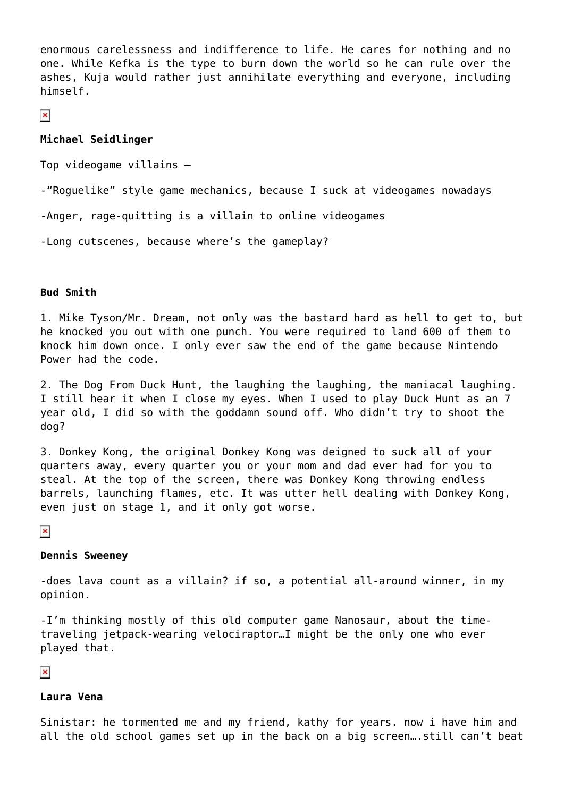enormous carelessness and indifference to life. He cares for nothing and no one. While Kefka is the type to burn down the world so he can rule over the ashes, Kuja would rather just annihilate everything and everyone, including himself.

 $\pmb{\times}$ 

## **Michael Seidlinger**

Top videogame villains –

-"Roguelike" style game mechanics, because I suck at videogames nowadays

-Anger, rage-quitting is a villain to online videogames

-Long cutscenes, because where's the gameplay?

#### **Bud Smith**

1. Mike Tyson/Mr. Dream, not only was the bastard hard as hell to get to, but he knocked you out with one punch. You were required to land 600 of them to knock him down once. I only ever saw the end of the game because Nintendo Power had the code.

2. The Dog From Duck Hunt, the laughing the laughing, the maniacal laughing. I still hear it when I close my eyes. When I used to play Duck Hunt as an 7 year old, I did so with the goddamn sound off. Who didn't try to shoot the dog?

3. Donkey Kong, the original Donkey Kong was deigned to suck all of your quarters away, every quarter you or your mom and dad ever had for you to steal. At the top of the screen, there was Donkey Kong throwing endless barrels, launching flames, etc. It was utter hell dealing with Donkey Kong, even just on stage 1, and it only got worse.

 $\pmb{\times}$ 

#### **Dennis Sweeney**

-does lava count as a villain? if so, a potential all-around winner, in my opinion.

-I'm thinking mostly of this old computer game Nanosaur, about the timetraveling jetpack-wearing velociraptor…I might be the only one who ever played that.

 $\pmb{\times}$ 

#### **Laura Vena**

Sinistar: he tormented me and my friend, kathy for years. now i have him and all the old school games set up in the back on a big screen….still can't beat